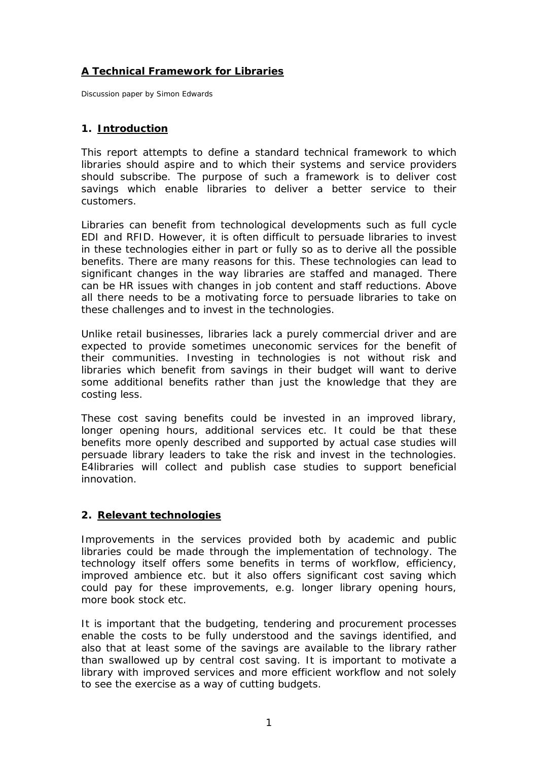# **A Technical Framework for Libraries**

*Discussion paper by Simon Edwards* 

### **1. Introduction**

This report attempts to define a standard technical framework to which libraries should aspire and to which their systems and service providers should subscribe. The purpose of such a framework is to deliver cost savings which enable libraries to deliver a better service to their customers.

Libraries can benefit from technological developments such as full cycle EDI and RFID. However, it is often difficult to persuade libraries to invest in these technologies either in part or fully so as to derive all the possible benefits. There are many reasons for this. These technologies can lead to significant changes in the way libraries are staffed and managed. There can be HR issues with changes in job content and staff reductions. Above all there needs to be a motivating force to persuade libraries to take on these challenges and to invest in the technologies.

Unlike retail businesses, libraries lack a purely commercial driver and are expected to provide sometimes uneconomic services for the benefit of their communities. Investing in technologies is not without risk and libraries which benefit from savings in their budget will want to derive some additional benefits rather than just the knowledge that they are costing less.

These cost saving benefits could be invested in an improved library, longer opening hours, additional services etc. It could be that these benefits more openly described and supported by actual case studies will persuade library leaders to take the risk and invest in the technologies. E4libraries will collect and publish case studies to support beneficial innovation.

### **2. Relevant technologies**

Improvements in the services provided both by academic and public libraries could be made through the implementation of technology. The technology itself offers some benefits in terms of workflow, efficiency, improved ambience etc. but it also offers significant cost saving which could pay for these improvements, e.g. longer library opening hours, more book stock etc.

It is important that the budgeting, tendering and procurement processes enable the costs to be fully understood and the savings identified, and also that at least some of the savings are available to the library rather than swallowed up by central cost saving. It is important to motivate a library with improved services and more efficient workflow and not solely to see the exercise as a way of cutting budgets.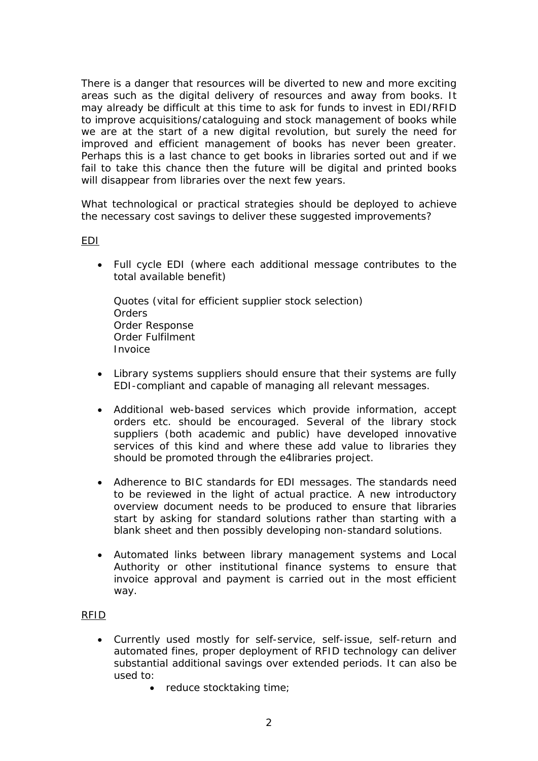There is a danger that resources will be diverted to new and more exciting areas such as the digital delivery of resources and away from books. It may already be difficult at this time to ask for funds to invest in EDI/RFID to improve acquisitions/cataloguing and stock management of books while we are at the start of a new digital revolution, but surely the need for improved and efficient management of books has never been greater. Perhaps this is a last chance to get books in libraries sorted out and if we fail to take this chance then the future will be digital and printed books will disappear from libraries over the next few years.

What technological or practical strategies should be deployed to achieve the necessary cost savings to deliver these suggested improvements?

#### EDI

• Full cycle EDI (where each additional message contributes to the total available benefit)

Quotes (vital for efficient supplier stock selection) **Orders** Order Response Order Fulfilment Invoice

- Library systems suppliers should ensure that their systems are fully EDI-compliant and capable of managing all relevant messages.
- Additional web-based services which provide information, accept orders etc. should be encouraged. Several of the library stock suppliers (both academic and public) have developed innovative services of this kind and where these add value to libraries they should be promoted through the e4libraries project.
- Adherence to BIC standards for EDI messages. The standards need to be reviewed in the light of actual practice. A new introductory overview document needs to be produced to ensure that libraries start by asking for standard solutions rather than starting with a blank sheet and then possibly developing non-standard solutions.
- Automated links between library management systems and Local Authority or other institutional finance systems to ensure that invoice approval and payment is carried out in the most efficient way.

#### RFID

- Currently used mostly for self-service, self-issue, self-return and automated fines, proper deployment of RFID technology can deliver substantial additional savings over extended periods. It can also be used to:
	- reduce stocktaking time;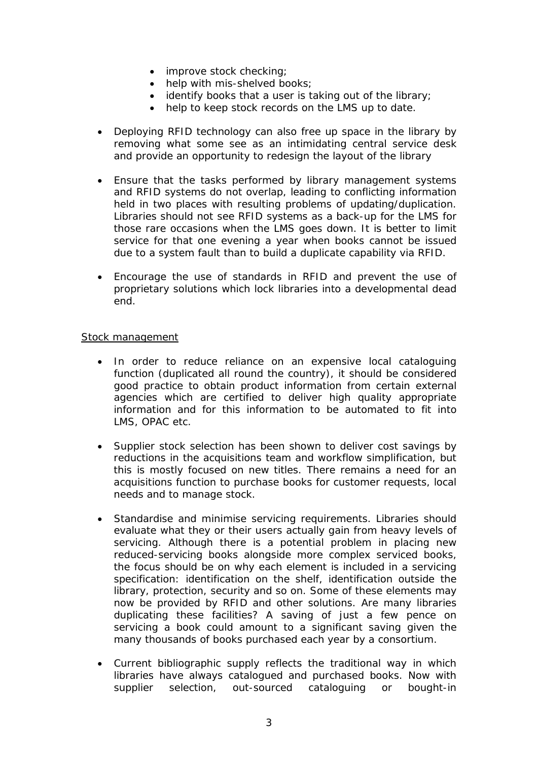- improve stock checking;
- help with mis-shelved books:
- identify books that a user is taking out of the library;
- help to keep stock records on the LMS up to date.
- Deploying RFID technology can also free up space in the library by removing what some see as an intimidating central service desk and provide an opportunity to redesign the layout of the library
- Ensure that the tasks performed by library management systems and RFID systems do not overlap, leading to conflicting information held in two places with resulting problems of updating/duplication. Libraries should not see RFID systems as a back-up for the LMS for those rare occasions when the LMS goes down. It is better to limit service for that one evening a year when books cannot be issued due to a system fault than to build a duplicate capability via RFID.
- Encourage the use of standards in RFID and prevent the use of proprietary solutions which lock libraries into a developmental dead end.

#### Stock management

- In order to reduce reliance on an expensive local cataloguing function (duplicated all round the country), it should be considered good practice to obtain product information from certain external agencies which are certified to deliver high quality appropriate information and for this information to be automated to fit into LMS, OPAC etc.
- Supplier stock selection has been shown to deliver cost savings by reductions in the acquisitions team and workflow simplification, but this is mostly focused on new titles. There remains a need for an acquisitions function to purchase books for customer requests, local needs and to manage stock.
- Standardise and minimise servicing requirements. Libraries should evaluate what they or their users actually gain from heavy levels of servicing. Although there is a potential problem in placing new reduced-servicing books alongside more complex serviced books, the focus should be on why each element is included in a servicing specification: identification on the shelf, identification outside the library, protection, security and so on. Some of these elements may now be provided by RFID and other solutions. Are many libraries duplicating these facilities? A saving of just a few pence on servicing a book could amount to a significant saving given the many thousands of books purchased each year by a consortium.
- Current bibliographic supply reflects the traditional way in which libraries have always catalogued and purchased books. Now with supplier selection, out-sourced cataloguing or bought-in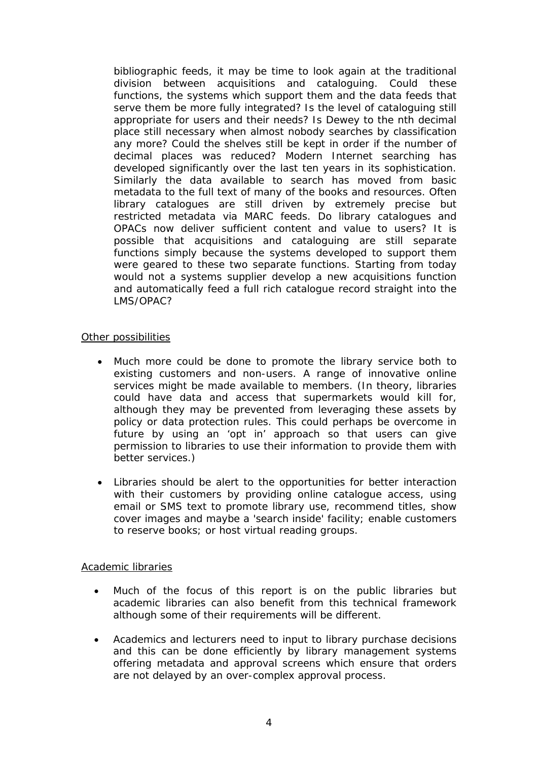bibliographic feeds, it may be time to look again at the traditional division between acquisitions and cataloguing. Could these functions, the systems which support them and the data feeds that serve them be more fully integrated? Is the level of cataloguing still appropriate for users and their needs? Is Dewey to the nth decimal place still necessary when almost nobody searches by classification any more? Could the shelves still be kept in order if the number of decimal places was reduced? Modern Internet searching has developed significantly over the last ten years in its sophistication. Similarly the data available to search has moved from basic metadata to the full text of many of the books and resources. Often library catalogues are still driven by extremely precise but restricted metadata via MARC feeds. Do library catalogues and OPACs now deliver sufficient content and value to users? It is possible that acquisitions and cataloguing are still separate functions simply because the systems developed to support them were geared to these two separate functions. Starting from today would not a systems supplier develop a new acquisitions function and automatically feed a full rich catalogue record straight into the LMS/OPAC?

#### Other possibilities

- Much more could be done to promote the library service both to existing customers and non-users. A range of innovative online services might be made available to members. (In theory, libraries could have data and access that supermarkets would kill for, although they may be prevented from leveraging these assets by policy or data protection rules. This could perhaps be overcome in future by using an 'opt in' approach so that users can give permission to libraries to use their information to provide them with better services.)
- Libraries should be alert to the opportunities for better interaction with their customers by providing online catalogue access, using email or SMS text to promote library use, recommend titles, show cover images and maybe a 'search inside' facility; enable customers to reserve books; or host virtual reading groups.

#### Academic libraries

- Much of the focus of this report is on the public libraries but academic libraries can also benefit from this technical framework although some of their requirements will be different.
- Academics and lecturers need to input to library purchase decisions and this can be done efficiently by library management systems offering metadata and approval screens which ensure that orders are not delayed by an over-complex approval process.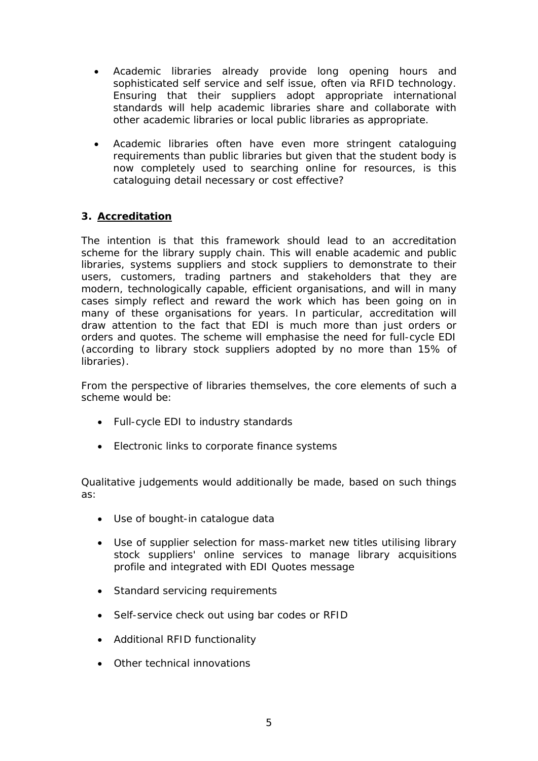- Academic libraries already provide long opening hours and sophisticated self service and self issue, often via RFID technology. Ensuring that their suppliers adopt appropriate international standards will help academic libraries share and collaborate with other academic libraries or local public libraries as appropriate.
- Academic libraries often have even more stringent cataloguing requirements than public libraries but given that the student body is now completely used to searching online for resources, is this cataloguing detail necessary or cost effective?

# **3. Accreditation**

The intention is that this framework should lead to an accreditation scheme for the library supply chain. This will enable academic and public libraries, systems suppliers and stock suppliers to demonstrate to their users, customers, trading partners and stakeholders that they are modern, technologically capable, efficient organisations, and will in many cases simply reflect and reward the work which has been going on in many of these organisations for years. In particular, accreditation will draw attention to the fact that EDI is much more than just orders or orders and quotes. The scheme will emphasise the need for full-cycle EDI (according to library stock suppliers adopted by no more than 15% of libraries).

From the perspective of libraries themselves, the core elements of such a scheme would be:

- Full-cycle EDI to industry standards
- Electronic links to corporate finance systems

Qualitative judgements would additionally be made, based on such things as:

- Use of bought-in catalogue data
- Use of supplier selection for mass-market new titles utilising library stock suppliers' online services to manage library acquisitions profile and integrated with EDI Quotes message
- Standard servicing requirements
- Self-service check out using bar codes or RFID
- Additional RFID functionality
- Other technical innovations